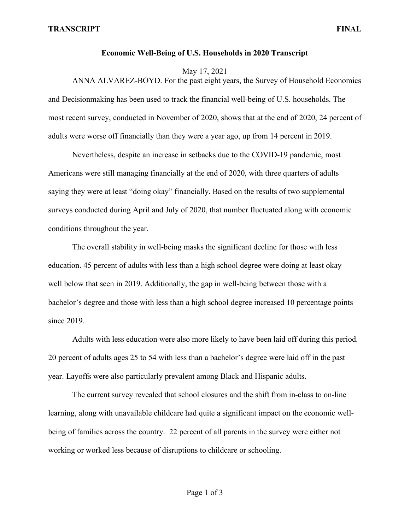## **Economic Well-Being of U.S. Households in 2020 Transcript**

May 17, 2021

ANNA ALVAREZ-BOYD. For the past eight years, the Survey of Household Economics and Decisionmaking has been used to track the financial well-being of U.S. households. The most recent survey, conducted in November of 2020, shows that at the end of 2020, 24 percent of adults were worse off financially than they were a year ago, up from 14 percent in 2019.

Nevertheless, despite an increase in setbacks due to the COVID-19 pandemic, most Americans were still managing financially at the end of 2020, with three quarters of adults saying they were at least "doing okay" financially. Based on the results of two supplemental surveys conducted during April and July of 2020, that number fluctuated along with economic conditions throughout the year.

The overall stability in well-being masks the significant decline for those with less education. 45 percent of adults with less than a high school degree were doing at least okay – well below that seen in 2019. Additionally, the gap in well-being between those with a bachelor's degree and those with less than a high school degree increased 10 percentage points since 2019.

Adults with less education were also more likely to have been laid off during this period. 20 percent of adults ages 25 to 54 with less than a bachelor's degree were laid off in the past year. Layoffs were also particularly prevalent among Black and Hispanic adults.

The current survey revealed that school closures and the shift from in-class to on-line learning, along with unavailable childcare had quite a significant impact on the economic wellbeing of families across the country. 22 percent of all parents in the survey were either not working or worked less because of disruptions to childcare or schooling.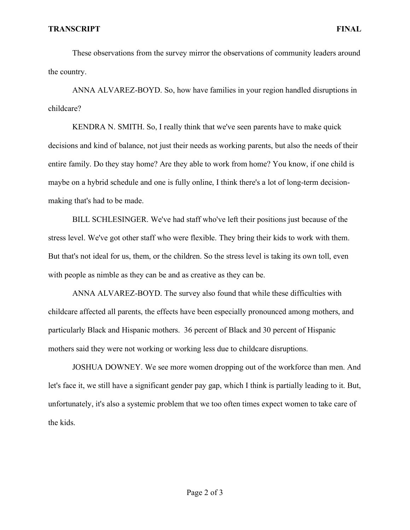## **TRANSCRIPT FINAL**

These observations from the survey mirror the observations of community leaders around the country.

ANNA ALVAREZ-BOYD. So, how have families in your region handled disruptions in childcare?

KENDRA N. SMITH. So, I really think that we've seen parents have to make quick decisions and kind of balance, not just their needs as working parents, but also the needs of their entire family. Do they stay home? Are they able to work from home? You know, if one child is maybe on a hybrid schedule and one is fully online, I think there's a lot of long-term decisionmaking that's had to be made.

BILL SCHLESINGER. We've had staff who've left their positions just because of the stress level. We've got other staff who were flexible. They bring their kids to work with them. But that's not ideal for us, them, or the children. So the stress level is taking its own toll, even with people as nimble as they can be and as creative as they can be.

ANNA ALVAREZ-BOYD. The survey also found that while these difficulties with childcare affected all parents, the effects have been especially pronounced among mothers, and particularly Black and Hispanic mothers. 36 percent of Black and 30 percent of Hispanic mothers said they were not working or working less due to childcare disruptions.

JOSHUA DOWNEY. We see more women dropping out of the workforce than men. And let's face it, we still have a significant gender pay gap, which I think is partially leading to it. But, unfortunately, it's also a systemic problem that we too often times expect women to take care of the kids.